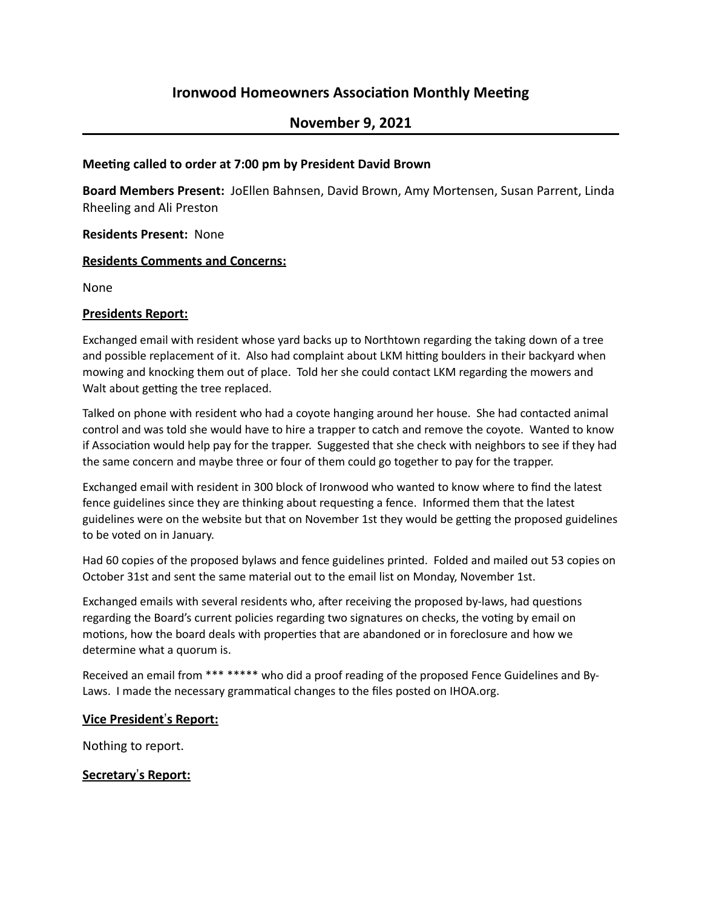# **Ironwood Homeowners Association Monthly Meeting**

# **November 9, 2021**

#### **Meeting called to order at 7:00 pm by President David Brown**

**Board Members Present:** JoEllen Bahnsen, David Brown, Amy Mortensen, Susan Parrent, Linda Rheeling and Ali Preston

#### **Residents Present: None**

#### **Residents Comments and Concerns:**

None

#### **Presidents Report:**

Exchanged email with resident whose yard backs up to Northtown regarding the taking down of a tree and possible replacement of it. Also had complaint about LKM hitting boulders in their backyard when mowing and knocking them out of place. Told her she could contact LKM regarding the mowers and Walt about getting the tree replaced.

Talked on phone with resident who had a coyote hanging around her house. She had contacted animal control and was told she would have to hire a trapper to catch and remove the coyote. Wanted to know if Association would help pay for the trapper. Suggested that she check with neighbors to see if they had the same concern and maybe three or four of them could go together to pay for the trapper.

Exchanged email with resident in 300 block of Ironwood who wanted to know where to find the latest fence guidelines since they are thinking about requesting a fence. Informed them that the latest guidelines were on the website but that on November 1st they would be getting the proposed guidelines to be voted on in January.

Had 60 copies of the proposed bylaws and fence guidelines printed. Folded and mailed out 53 copies on October 31st and sent the same material out to the email list on Monday, November 1st.

Exchanged emails with several residents who, after receiving the proposed by-laws, had questions regarding the Board's current policies regarding two signatures on checks, the voting by email on motions, how the board deals with properties that are abandoned or in foreclosure and how we determine what a quorum is.

Received an email from \*\*\* \*\*\*\*\* who did a proof reading of the proposed Fence Guidelines and By-Laws. I made the necessary grammatical changes to the files posted on IHOA.org.

#### **Vice President's Report:**

Nothing to report.

### **Secretary's Report:**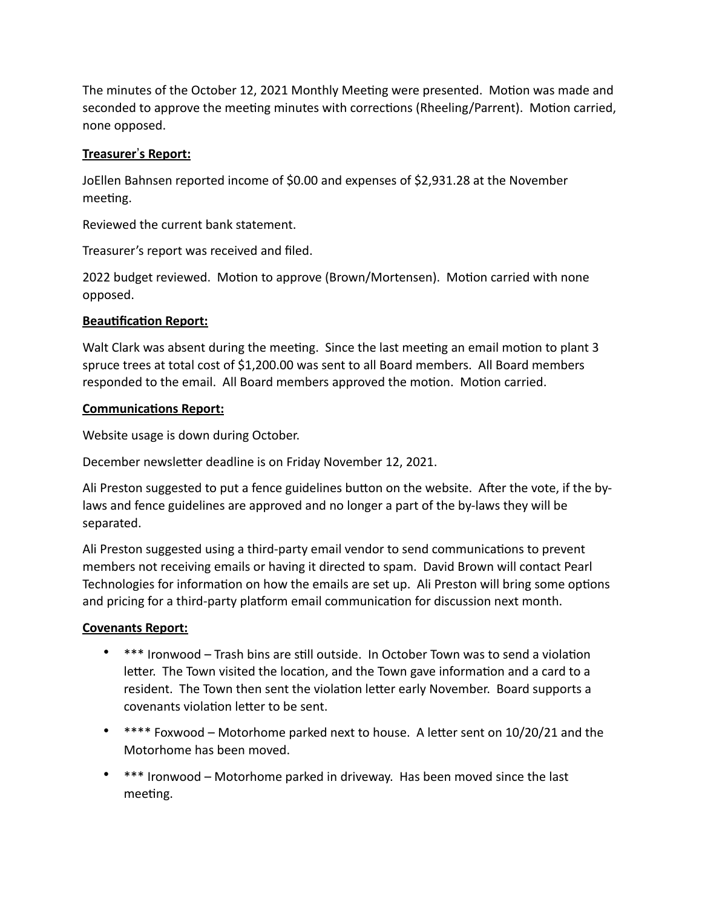The minutes of the October 12, 2021 Monthly Meeting were presented. Motion was made and seconded to approve the meeting minutes with corrections (Rheeling/Parrent). Motion carried, none opposed.

# **Treasurer's Report:**

JoEllen Bahnsen reported income of \$0.00 and expenses of \$2,931.28 at the November meeting.

Reviewed the current bank statement.

Treasurer's report was received and filed.

2022 budget reviewed. Motion to approve (Brown/Mortensen). Motion carried with none opposed.

## **Beautification Report:**

Walt Clark was absent during the meeting. Since the last meeting an email motion to plant 3 spruce trees at total cost of \$1,200.00 was sent to all Board members. All Board members responded to the email. All Board members approved the motion. Motion carried.

### **Communications Report:**

Website usage is down during October.

December newsletter deadline is on Friday November 12, 2021.

Ali Preston suggested to put a fence guidelines button on the website. After the vote, if the bylaws and fence guidelines are approved and no longer a part of the by-laws they will be separated.

Ali Preston suggested using a third-party email vendor to send communications to prevent members not receiving emails or having it directed to spam. David Brown will contact Pearl Technologies for information on how the emails are set up. Ali Preston will bring some options and pricing for a third-party platform email communication for discussion next month.

# **Covenants Report:**

- \*\*\* Ironwood Trash bins are still outside. In October Town was to send a violation letter. The Town visited the location, and the Town gave information and a card to a resident. The Town then sent the violation letter early November. Board supports a covenants violation letter to be sent.
- $***$  Foxwood Motorhome parked next to house. A letter sent on 10/20/21 and the Motorhome has been moved.
- \*\*\* Ironwood Motorhome parked in driveway. Has been moved since the last meeting.